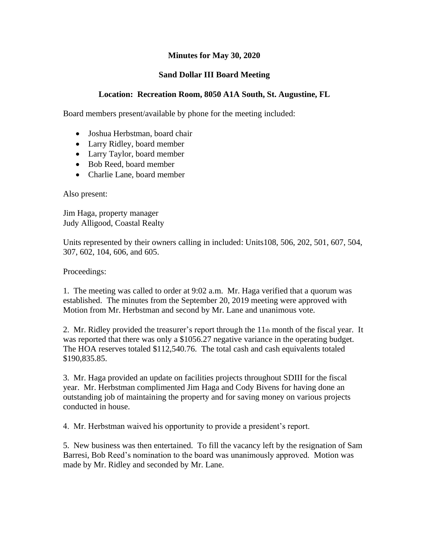## **Minutes for May 30, 2020**

## **Sand Dollar III Board Meeting**

## **Location: Recreation Room, 8050 A1A South, St. Augustine, FL**

Board members present/available by phone for the meeting included:

- Joshua Herbstman, board chair
- Larry Ridley, board member
- Larry Taylor, board member
- Bob Reed, board member
- Charlie Lane, board member

Also present:

Jim Haga, property manager Judy Alligood, Coastal Realty

Units represented by their owners calling in included: Units108, 506, 202, 501, 607, 504, 307, 602, 104, 606, and 605.

Proceedings:

1. The meeting was called to order at 9:02 a.m. Mr. Haga verified that a quorum was established. The minutes from the September 20, 2019 meeting were approved with Motion from Mr. Herbstman and second by Mr. Lane and unanimous vote.

2. Mr. Ridley provided the treasurer's report through the 11th month of the fiscal year. It was reported that there was only a \$1056.27 negative variance in the operating budget. The HOA reserves totaled \$112,540.76. The total cash and cash equivalents totaled \$190,835.85.

3. Mr. Haga provided an update on facilities projects throughout SDIII for the fiscal year. Mr. Herbstman complimented Jim Haga and Cody Bivens for having done an outstanding job of maintaining the property and for saving money on various projects conducted in house.

4. Mr. Herbstman waived his opportunity to provide a president's report.

5. New business was then entertained. To fill the vacancy left by the resignation of Sam Barresi, Bob Reed's nomination to the board was unanimously approved. Motion was made by Mr. Ridley and seconded by Mr. Lane.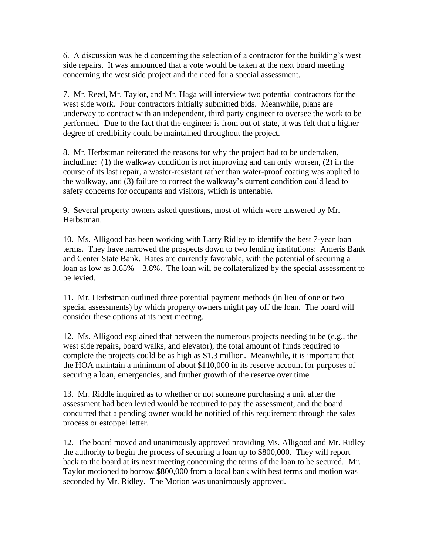6. A discussion was held concerning the selection of a contractor for the building's west side repairs. It was announced that a vote would be taken at the next board meeting concerning the west side project and the need for a special assessment.

7. Mr. Reed, Mr. Taylor, and Mr. Haga will interview two potential contractors for the west side work. Four contractors initially submitted bids. Meanwhile, plans are underway to contract with an independent, third party engineer to oversee the work to be performed. Due to the fact that the engineer is from out of state, it was felt that a higher degree of credibility could be maintained throughout the project.

8. Mr. Herbstman reiterated the reasons for why the project had to be undertaken, including: (1) the walkway condition is not improving and can only worsen, (2) in the course of its last repair, a waster-resistant rather than water-proof coating was applied to the walkway, and (3) failure to correct the walkway's current condition could lead to safety concerns for occupants and visitors, which is untenable.

9. Several property owners asked questions, most of which were answered by Mr. Herbstman.

10. Ms. Alligood has been working with Larry Ridley to identify the best 7-year loan terms. They have narrowed the prospects down to two lending institutions: Ameris Bank and Center State Bank. Rates are currently favorable, with the potential of securing a loan as low as 3.65% – 3.8%. The loan will be collateralized by the special assessment to be levied.

11. Mr. Herbstman outlined three potential payment methods (in lieu of one or two special assessments) by which property owners might pay off the loan. The board will consider these options at its next meeting.

12. Ms. Alligood explained that between the numerous projects needing to be (e.g., the west side repairs, board walks, and elevator), the total amount of funds required to complete the projects could be as high as \$1.3 million. Meanwhile, it is important that the HOA maintain a minimum of about \$110,000 in its reserve account for purposes of securing a loan, emergencies, and further growth of the reserve over time.

13. Mr. Riddle inquired as to whether or not someone purchasing a unit after the assessment had been levied would be required to pay the assessment, and the board concurred that a pending owner would be notified of this requirement through the sales process or estoppel letter.

12. The board moved and unanimously approved providing Ms. Alligood and Mr. Ridley the authority to begin the process of securing a loan up to \$800,000. They will report back to the board at its next meeting concerning the terms of the loan to be secured. Mr. Taylor motioned to borrow \$800,000 from a local bank with best terms and motion was seconded by Mr. Ridley. The Motion was unanimously approved.